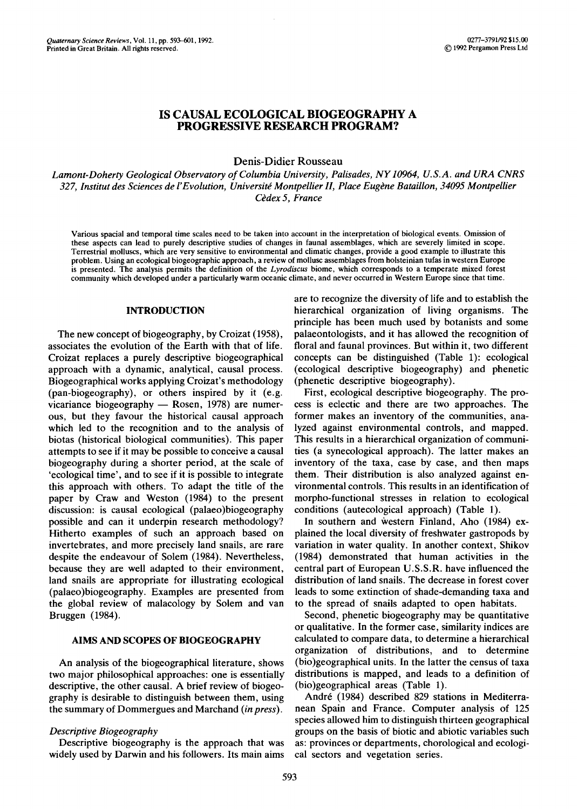# IS CAUSAL ECOLOGICAL BIOGEOGRAPHY A **PROGRESSIVE RESEARCH PROGRAM?**

Denis-Didier Rousseau

*Lamont-Doherty Geological Observatory of Columbia University, Palisades, NY10964, U.S.A. and URA CNRS*  327, Institut des Sciences de l'Evolution, Université Montpellier II, Place Eugène Bataillon, 34095 Montpellier *Cddex 5, France* 

Various spacial and temporal time scales need to be taken into account in the interpretation of biological events. Omission of these aspects can lead to purely descriptive studies of changes in faunal assemblages, which are severely limited in scope. Terrestrial molluscs, which are very sensitive to environmental and climatic changes, provide a good example to illustrate this problem. Using an ecological biogeographic approach, a review of mollusc assemblages from holsteinian tufas in western Europe is presented. The analysis permits the definition of the *Lyrodiscus* biome, which corresponds to a temperate mixed forest community which developed under a particularly warm oceanic climate, and never occurred in Western Europe since that time.

### INTRODUCTION

The new concept of biogeography, by Croizat (1958), associates the evolution of the Earth with that of life. Croizat replaces a purely descriptive biogeographical approach with a dynamic, analytical, causal process. Biogeographical works applying Croizat's methodology (pan-biogeography), or others inspired by it (e.g. vicariance biogeography  $-$  Rosen, 1978) are numerous, but they favour the historical causal approach which led to the recognition and to the analysis of biotas (historical biological communities). This paper attempts to see if it may be possible to conceive a causal biogeography during a shorter period, at the scale of 'ecological time', and to see if it is possible to integrate this approach with others. To adapt the title of the paper by Craw and Weston (1984) to the present discussion: is causal ecological (palaeo)biogeography possible and can it underpin research methodology? Hitherto examples of such an approach based on invertebrates, and more precisely land snails, are rare despite the endeavour of Solem (1984). Nevertheless, because they are well adapted to their environment, land snails are appropriate for illustrating ecological (palaeo)biogeography. Examples are presented from the global review of malacology by Solem and van Bruggen (1984).

## **AlMS AND SCOPES OF BIOGEOGRAPHY**

An analysis of the biogeographical literature, shows two major philosophical approaches: one is essentially descriptive, the other causal. A brief review of biogeography is desirable to distinguish between them, using the summary of Dommergues and Marchand *(in press).* 

## *Descriptive Biogeography*

Descriptive biogeography is the approach that was widely used by Darwin and his followers. Its main aims are to recognize the diversity of life and to establish the hierarchical organization of living organisms. The principle has been much used by botanists and some palaeontologists, and it has allowed the recognition of floral and faunal provinces. But within it, two different concepts can be distinguished (Table 1): ecological (ecological descriptive biogeography) and phenetic (phenetic descriptive biogeography).

First, ecological descriptive biogeography. The process is eclectic and there are two approaches. The former makes an inventory of the communities, analyzed against environmental controls, and mapped. This results in a hierarchical organization of communities (a synecological approach). The latter makes an inventory of the taxa, case by case, and then maps them. Their distribution is also analyzed against environmental controls. This results in an identification of morpho-functional stresses in relation to ecological conditions (autecological approach) (Table 1).

In southern and western Finland, Aho (1984) explained the local diversity of freshwater gastropods by variation in water quality. In another context, Shikov (1984) demonstrated that human activities in the central part of European U.S.S.R. have influenced the distribution of land snails. The decrease in forest cover leads to some extinction of shade-demanding taxa and to the spread of snails adapted to open habitats.

Second, phenetic biogeography may be quantitative or qualitative. In the former case, similarity indices are calculated to compare data, to determine a hierarchical organization of distributions, and to determine (bio)geographical units. In the latter the census of taxa distributions is mapped, and leads to a definition of (bio)geographical areas (Table 1).

Andr6 (1984) described 829 stations in Mediterranean Spain and France. Computer analysis of 125 species allowed him to distinguish thirteen geographical groups on the basis of biotic and abiotic variables such as: provinces or departments, chorological and ecological sectors and vegetation series.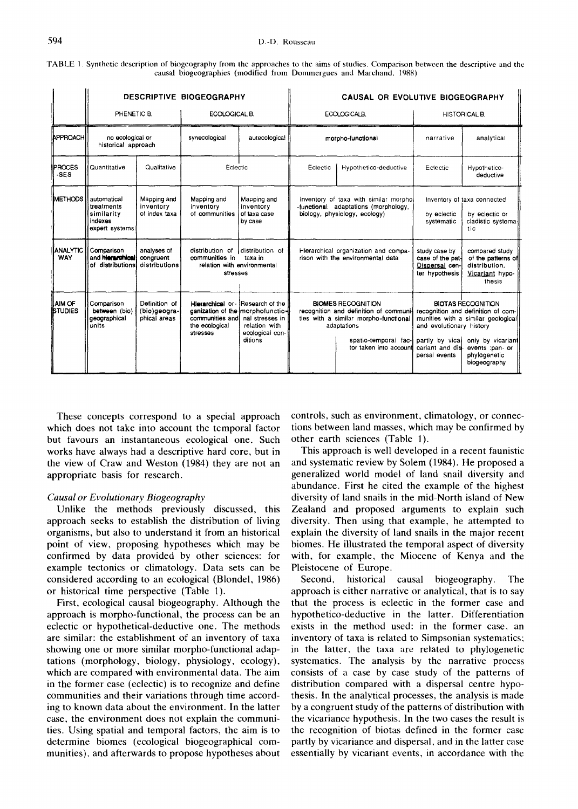| TABLE 1. Synthetic description of biogeography from the approaches to the aims of studies. Comparison between the descriptive and the |                                                                     |  |  |
|---------------------------------------------------------------------------------------------------------------------------------------|---------------------------------------------------------------------|--|--|
|                                                                                                                                       | causal biogeographies (modified from Dommergues and Marchand, 1988) |  |  |

|                                 | PHENETIC B.                                                                             |                                               | <b>DESCRIPTIVE BIOGEOGRAPHY</b><br>ECOLOGICAL B.                             |                                                                                                                       |                                                                                                                                                                               | ECOLOGICALB. | CAUSAL OR EVOLUTIVE BIOGEOGRAPHY<br><b>HISTORICAL B.</b>                                                                                                                                                                                                       |                                                                                    |
|---------------------------------|-----------------------------------------------------------------------------------------|-----------------------------------------------|------------------------------------------------------------------------------|-----------------------------------------------------------------------------------------------------------------------|-------------------------------------------------------------------------------------------------------------------------------------------------------------------------------|--------------|----------------------------------------------------------------------------------------------------------------------------------------------------------------------------------------------------------------------------------------------------------------|------------------------------------------------------------------------------------|
| APPROACH                        | no ecological or<br>historical approach                                                 |                                               | synecological                                                                | autecological                                                                                                         | morpho-functional                                                                                                                                                             |              | narrative                                                                                                                                                                                                                                                      | analytical                                                                         |
| <b>IPROCES</b><br>-SES          | Quantitative                                                                            | Qualitative                                   | Eclectic                                                                     |                                                                                                                       | Eclectic<br>Hypothetico-deductive                                                                                                                                             |              | Eclectic                                                                                                                                                                                                                                                       | Hypothetico-<br>deductive                                                          |
|                                 | <b>IMETHODS II automatical</b><br>treatments<br>similarity<br>indexes<br>expert systems | Mapping and<br>inventory<br>of index taxa     | Mapping and<br>inventory<br>of communities                                   | Mapping and<br>inventory<br>of taxa case<br>by case                                                                   | inventory of taxa with similar morphol<br>-functional adaptations (morphology,<br>biology, physiology, ecology)                                                               |              | by eclectic<br>systematic                                                                                                                                                                                                                                      | Inventory of taxa connected<br>by eclectic or<br>cladistic systema-<br>tic         |
| <b>ANALYTIC</b><br><b>WAY</b>   | Comparison<br>and hierarchical<br>of distributions!                                     | analyses of<br>congruent<br>distributions     | distribution of<br>communities in<br>relation with environmental<br>stresses | distribution of<br>taxa in                                                                                            | Hierarchical organization and compa-<br>rison with the environmental data                                                                                                     |              | study case by<br>case of the pat-<br>Dispersal cen-<br>ter hypothesis                                                                                                                                                                                          | compared study<br>of the patterns of<br>distribution.<br>Vicariant hypo-<br>thosis |
| <b>AIM OF</b><br><b>STUDIES</b> | Comparison<br>between (bio)<br>geographical<br>units                                    | Definition of<br>(bio)geogra-<br>phical areas | Hierarchical or-<br>communities and<br>the ecological<br>stresses            | Research of the<br>ganization of the morphofunctio-<br>nal stresses in<br>relation with<br>ecological con-<br>ditions | <b>BIOMES RECOGNITION</b><br>recognition and definition of communi-<br>ties with a similar morpho-functional<br>adaptations<br>spatio-temporal fac-<br>tor taken into account |              | <b>BIOTAS RECOGNITION</b><br>recognition and definition of com-<br>munities with a similar geological<br>and evolutionary history<br>partly by vical<br>only by vicariant<br>cariant and dis- events :pan- or<br>phylogenetic<br>persal events<br>biogeography |                                                                                    |

These concepts correspond to a special approach which does not take into account the temporal factor but favours an instantaneous ecological one. Such works have always had a descriptive hard core, but in the view of Craw and Weston (1984) they are not an appropriate basis for research.

#### *Causal or Evolutionary Biogeography*

Unlike the methods previously discussed, this approach seeks to establish the distribution of living organisms, but also to understand it from an historical point of view, proposing hypotheses which may be confirmed by data provided by other sciences: for example tectonics or climatology. Data sets can be considered according to an ecological (Blondel, 1986) or historical time perspective (Table 1).

First, ecological causal biogeography. Although the approach is morpho-functional, the process can be an eclectic or hypothetical-deductive one. The methods are similar: the establishment of an inventory of taxa showing one or more similar morpho-functional adaptations (morphology, biology, physiology, ecology), which are compared with environmental data. The aim in the former case (eclectic) is to recognize and define communities and their variations through time according to known data about the environment. In the latter case, the environment does not explain the communities. Using spatial and temporal factors, the aim is to determine biomes (ecological biogeographical communities), and afterwards to propose hypotheses about controls, such as environment, climatology, or connections between land masses, which may be confirmed by other earth sciences (Table 1).

This approach is well developed in a recent faunistic and systematic review by Solem (1984). He proposed a generalized world model of land snail diversity and abundance. First he cited the example of the highest diversity of land snails in the mid-North island of New Zealand and proposed arguments to explain such diversity. Then using that example, he attempted to explain the diversity of land snails in the major recent biomes. He illustrated the temporal aspect of diversity with, for example, the Miocene of Kenya and the Pleistocene of Europe.

Second, historical causal biogeography. The approach is either narrative or analytical, that is to say that the process is eclectic in the former case and hypothetico-deductive in the latter. Differentiation exists in the method used: in the former case, an inventory of taxa is related to Simpsonian systematics; in the latter, the taxa are related to phylogenetic systematics. The analysis by the narrative process consists of a case by case study of the patterns of distribution compared with a dispersal centre hypothesis. In the analytical processes, the analysis is made by a congruent study of the patterns of distribution with the vicariance hypothesis. In the two cases the result is the recognition of biotas defined in the former case partly by vicariance and dispersal, and in the latter case essentially by vicariant events, in accordance with the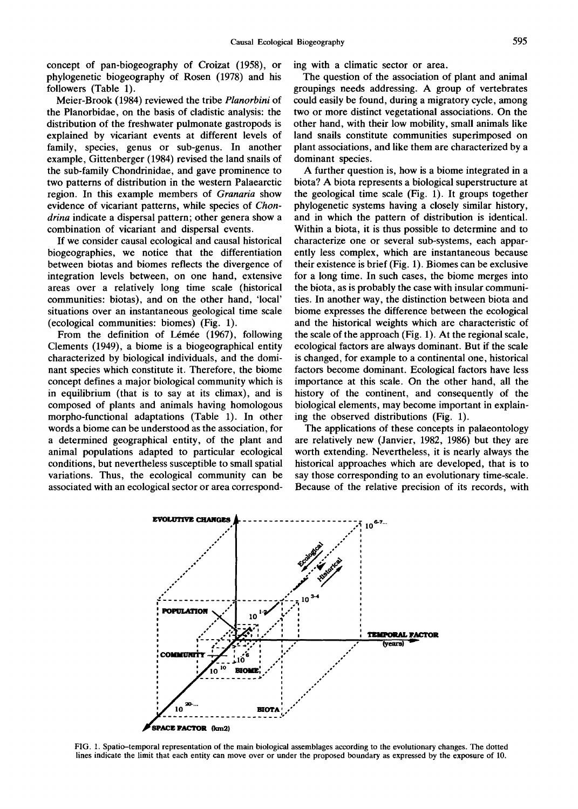concept of pan-biogeography of Croizat (1958), or phylogenetic biogeography of Rosen (1978) and his followers (Table 1).

Meier-Brook (1984) reviewed the tribe *Planorbini* of the Planorbidae, on the basis of cladistic analysis: the distribution of the freshwater pulmonate gastropods is explained by vicariant events at different levels of family, species, genus or sub-genus. In another example, Gittenberger (1984) revised the land snails of the sub-family Chondrinidae, and gave prominence to two patterns of distribution in the western Palaearctic region. In this example members of *Granaria* show evidence of vicariant patterns, while species of *Chondrina* indicate a dispersal pattern; other genera show a combination of vicariant and dispersal events.

If we consider causal ecological and causal historical biogeographies, we notice that the differentiation between biotas and biomes reflects the divergence of integration levels between, on one hand, extensive areas over a relatively long time scale (historical communities: biotas), and on the other hand, 'local' situations over an instantaneous geological time scale (ecological communities: biomes) (Fig. 1).

From the definition of Lémée (1967), following Clements (1949), a biome is a biogeographical entity characterized by biological individuals, and the dominant species which constitute it. Therefore, the biome concept defines a major biological community which is in equilibrium (that is to say at its climax), and is composed of plants and animals having homologous morpho-functional adaptations (Table 1). In other words a biome can be understood as the association, for a determined geographical entity, of the plant and animal populations adapted to particular ecological conditions, but nevertheless susceptible to small spatial variations. Thus, the ecological community can be associated with an ecological sector or area corresponding with a climatic sector or area.

The question of the association of plant and animal groupings needs addressing. A group of vertebrates could easily be found, during a migratory cycle, among two or more distinct vegetational associations. On the other hand, with their low mobility, small animals like land snails constitute communities superimposed on plant associations, and like them are characterized by a dominant species.

A further question is, how is a biome integrated in a biota? A biota represents a biological superstructure at the geological time scale (Fig. 1). It groups together phylogenetic systems having a closely similar history, and in which the pattern of distribution is identical. Within a biota, it is thus possible to determine and to characterize one or several sub-systems, each apparently less complex, which are instantaneous because their existence is brief (Fig. 1). Biomes can be exclusive for a long time. In such cases, the biome merges into the biota, as is probably the case with insular communities. In another way, the distinction between biota and biome expresses the difference between the ecological and the historical weights which are characteristic of the scale of the approach (Fig. 1), At the regional scale, ecological factors are always dominant. But if the scale is changed, for example to a continental one, historical factors become dominant. Ecological factors have less importance at this scale. On the other hand, all the history of the continent, and consequently of the biological elements, may become important in explaining the observed distributions (Fig. 1).

The applications of these concepts in palaeontology are relatively new (Janvier, 1982, 1986) but they are worth extending. Nevertheless, it is nearly always the historical approaches which are developed, that is to say those corresponding to an evolutionary time-scale. Because of the relative precision of its records, with



FIG. 1. Spatio-temporal representation of the main biological assemblages according to the evolutionary changes. The dotted lines indicate the limit that each entity can move over or under the proposed boundary as expressed by the exposure of 10.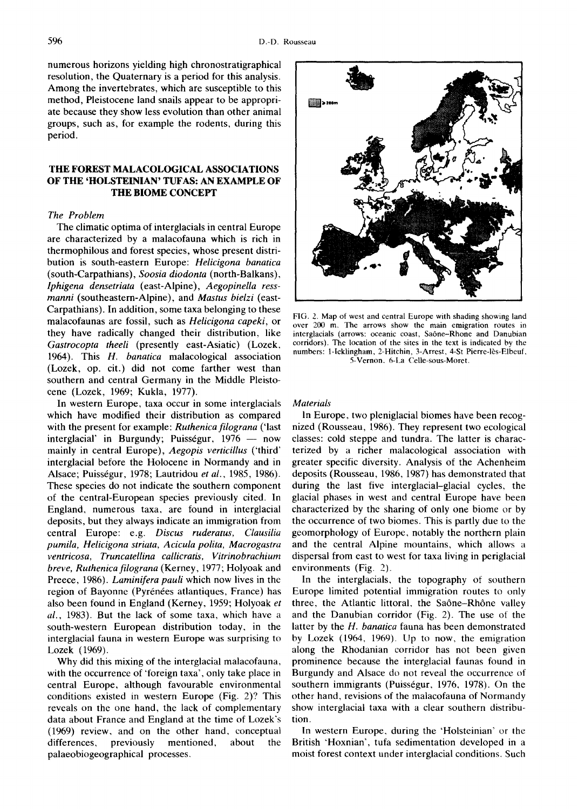numerous horizons yielding high chronostratigraphical resolution, the Quaternary is a period for this analysis. Among the invertebrates, which are susceptible to this method, Pleistocene land snails appear to be appropriate because they show less evolution than other animal groups, such as, for example the rodents, during this period.

## **THE FOREST MALACOLOGICAL ASSOCIATIONS OF THE 'HOLSTEINIAN' TUFAS: AN EXAMPLE OF THE BIOME CONCEPT**

## *The Problem*

The climatic optima of interglacials in central Europe are characterized by a malacofauna which is rich in thermophilous and forest species, whose present distribution is south-eastern Europe: *Helicigona banatica*  (south-Carpathians), *Soosia diodonta* (north-Balkans), *lphigena densetriata* (east-Alpine), *Aegopinella ressmanni* (southeastern-Alpine), and *Mastus bielzi* (east-Carpathians). In addition, some taxa belonging to these malacofaunas are fossil, such as *Helicigona capeki,* or they have radically changed their distribution, like *Gastrocopta theeli* (presently east-Asiatic) (Lozek, 1964). This *H. banatica* malacological association (Lozek, op. cit.) did not come farther west than southern and central Germany in the Middle Pleistocene (Lozek, 1969; Kukla, 1977).

In western Europe, taxa occur in some interglacials which have modified their distribution as compared with the present for example: *Ruthenica filograna* ('last interglacial' in Burgundy; Puisségur,  $1976 - \text{now}$ mainly in central Europe), *Aegopis verticillus* ('third' interglacial before the Holocene in Normandy and in Alsace; Puissrgur, 1978; Lautridou *et al.,* 1985, 1986). These species do not indicate the southern component of the central-European species previously cited. In England, numerous taxa, are found in interglacial deposits, but they always indicate an immigration from central Europe: e.g. *Discus ruderatus, Clausilia pumila, Helicigona striata, Acicula polita, Macrogastra ventricosa, Truncatellina callicratis, Vitrinobrachium breve, Ruthenica filograna* (Kerney, 1977; Holyoak and Preece, 1986). *Laminifera pauli* which now lives in the region of Bayonne (Pyrénées atlantiques, France) has also been found in England (Kerney, 1959; Holyoak *et al.,* 1983). But the lack of some taxa, which have a south-western European distribution today, in the interglacial fauna in western Europe was surprising to Lozek (1969).

Why did this mixing of the interglacial malacofauna, with the occurrence of 'foreign taxa', only take place in central Europe, although favourable environmental conditions existed in western Europe (Fig. 2)? This reveals on the one hand, the lack of complementary data about France and England at the time of Lozek's (1969) review, and on the other hand, conceptual differences, previously mentioned, about the palaeobiogeographical processes.



FIG. 2. Map of west and central Europe with shading showing land over 200 m. The arrows show the main emigration routes in interglacials (arrows: oceanic coast, Saône-Rhone and Danubian corridors). The location of the sites in the text is indicated by the numbers: 1-Icklingham, 2-Hitchin, 3-Arrest, 4-St Pierre-16s-Elbeuf, 5-Vernon. 6-La Celle-sous-Moret.

## *Materials*

In Europe, two pleniglacial biomes have been recognized (Rousseau, 1986). They represent two ecological classes: cold steppe and tundra. The latter is characterized by a richer malacological association with greater specific diversity. Analysis of the Achenheim deposits (Rousseau, 1986, 1987) has demonstrated that during the last five interglacial-glacial cycles, the glacial phases in west and central Europe have been characterized by the sharing of only one biome or by the occurrence of two biomes. This is partly due to the geomorphology of Europe, notably the northern plain and the central Alpine mountains, which allows a dispersal from east to west for taxa living in periglacial environments (Fig. 2).

In the interglacials, the topography of southern Europe limited potential immigration routes to only three, the Atlantic littoral, the Saône-Rhône valley and the Danubian corridor (Fig. 2). The use of the latter by the *H. banatica* fauna has been demonstrated by Lozek (1964, 1969). Up to now, the emigration along the Rhodanian corridor has not been given prominence because the interglacial faunas found in Burgundy and Alsace do not reveal the occurrence of southern immigrants (Puisségur, 1976, 1978). On the other hand, revisions of the malacofauna of Normandy show interglacial taxa with a clear southern distribution.

In western Europe, during the 'Holsteinian' or the British 'Hoxnian', tufa sedimentation developed in a moist forest context under interglacial conditions. Such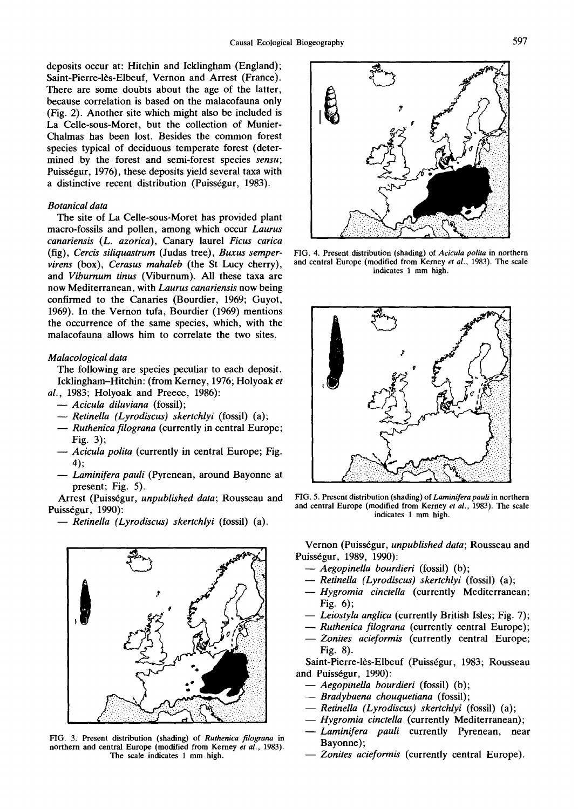deposits occur at: Hitchin and Icklingham (England); Saint-Pierre-lès-Elbeuf, Vernon and Arrest (France). There are some doubts about the age of the latter, because correlation is based on the malacofauna only (Fig. 2). Another site which might also be included is La Celle-sous-Moret, but the collection of Munier-Chalmas has been lost. Besides the common forest species typical of deciduous temperate forest (determined by the forest and semi-forest species *sensu;*  Puisségur, 1976), these deposits yield several taxa with a distinctive recent distribution (Puisségur, 1983).

### *Botanical data*

The site of La Celle-sous-Moret has provided plant macro-fossils and pollen, among which occur *Laurus canariensis (L. azorica),* Canary laurel *Ficus carica*  (fig), *Cercis siliquastrum* (Judas tree), *Buxus sempervirens* (box), *Cerasus mahaleb* (the St Lucy cherry), and *Viburnum tinus* (Viburnum). All these taxa are now Mediterranean, with *Laurus canariensis* now being confirmed to the Canaries (Bourdier, 1969; Guyot, 1969). In the Vernon tufa, Bourdier (1969) mentions the occurrence of the same species, which, with the malacofauna allows him to correlate the two sites.

#### *Malacological data*

The following are species peculiar to each deposit. Icklingham-Hitchin: (from Kerney, 1976; Holyoak *et al.,* 1983; Holyoak and Preece, 1986):

- *--Acicula diluviana* (fossil);
- *Retinella (Lyrodiscus) skertchlyi* (fossil) (a);
- *Ruthenica filograna* (currently in central Europe; Fig. 3);
- *Acicula polita* (currently in central Europe; Fig. 4);
- *-- Laminifera pauli* (Pyrenean, around Bayonne at present; Fig. 5).

Arrest (Puisségur, *unpublished data*; Rousseau and Puisségur, 1990):

*-- Retinella (Lyrodiscus) skertchlyi* (fossil) (a).



FIG. 3. Present distribution (shading) of *Ruthenica filograna* in northern and central Europe (modified from Kerney *et al.,* 1983). The scale indicates 1 mm high.



FIG. 4. Present distribution (shading) of *Acicula polita* in northern and central Europe (modified from Kerney *et al.,* 1983). The scale indicates 1 mm high.



FIG. 5. Present distribution (shading) of *Laminifera pauli* in northern and central Europe (modified from Kerney *et al.,* 1983). The scale indicates 1 mm high.

Vernon (Puiss6gur, *unpublished data;* Rousseau and Puisségur, 1989, 1990):

- *--Aegopinella bourdieri* (fossil) (b);
- *Retinella (Lyrodiscus) skertchlyi* (fossil) (a);
- *--Hygromia cinctella* (currently Mediterranean; Fig. 6);
- *-- Leiostyla anglica* (currently British Isles; Fig. 7);
- *-- Ruthenica filograna* (currently central Europe);
- *--Zonites acieformis* (currently central Europe; Fig. 8).

Saint-Pierre-lès-Elbeuf (Puisségur, 1983; Rousseau and Puisségur, 1990):

- *-- AegopineUa bourdieri* (fossil) (b);
- *-- Bradybaena chouquetiana* (fossil);
- *-- Retinella (Lyrodiscus) skertchlyi* (fossil) (a);
- *-- Hygromia cinctella* (currently Mediterranean);
- Laminifera pauli currently Pyrenean, near Bayonne);
- Zonites acieformis (currently central Europe).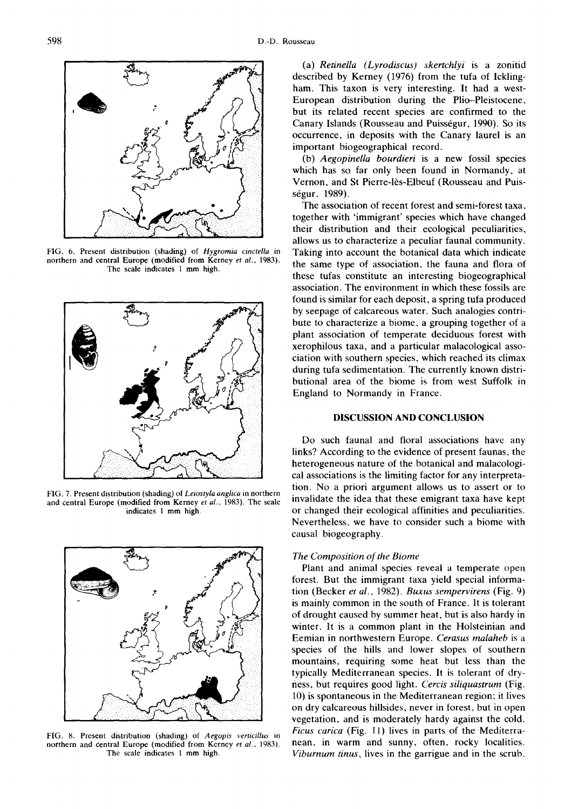

FIG. 6. Present distribution (shading) of *Hygromia cinctella* in northern and central Europe (modified from Kerney *et al.,* 1983). The scale indicates 1 mm high.



FIG. 7. Present distribution (shading) of *Leiostyla anglica* in northern and central Europe (modified from Kerney *et al.,* 1983). The scale indicates 1 mm high.



FIG. 8. Present distribution (shading) of *Aegopis verticillus* in northern and central Europe (modified from Kerney *et al.,* 1983). The scale indicates 1 mm high.

(a) *Retinella (Lyrodiscus) skertchlyi* is a zonitid described by Kerney (1976) from the tufa of Icklingham. This taxon is very interesting. It had a west-European distribution during the Plio-Pleistocene, but its related recent species are confirmed to the Canary Islands (Rousseau and Puisségur, 1990). So its occurrence, in deposits with the Canary laurel is an important biogeographical record.

(b) *Aegopinella bourdieri* is a new fossil species which has so far only been found in Normandy, at Vernon, and St Pierre-lès-Elbeuf (Rousseau and Puisségur, 1989).

The association of recent forest and semi-forest taxa, together with 'immigrant' species which have changed their distribution and their ecological peculiarities, allows us to characterize a peculiar faunal community. Taking into account the botanical data which indicate the same type of association, the fauna and flora of these tufas constitute an interesting biogeographical association. The environment in which these fossils are found is similar for each deposit, a spring tufa produced by seepage of calcareous water. Such analogies contribute to characterize a biome, a grouping together of a plant association of temperate deciduous forest with xerophilous taxa, and a particular malacological association with southern species, which reached its climax during tufa sedimentation. The currently known distributional area of the biome is from west Suffolk in England to Normandy in France.

## DISCUSSION AND CONCLUSION

Do such faunal and floral associations have any links? According to the evidence of present faunas, the heterogeneous nature of the botanical and malacologicai associations is the limiting factor for any interpretation. No a priori argument allows us to assert or to invalidate the idea that these emigrant taxa have kept or changed their ecological affinities and peculiarities. Nevertheless, we have to consider such a biome with causal biogeography.

#### *The Composition of the Biome*

Plant and animal species reveal a temperate open forest. But the immigrant taxa yield special information (Becker *et al.,* 1982). *Buxus sempervirens* (Fig. 9) is mainly common in the south of France. It is tolerant of drought caused by summer heat, but is also hardy in winter. It is a common plant in the Holsteinian and Eemian in northwestern Europe. *Cerasus malaheb* is a species of the hills and lower slopes of southern mountains, requiring some heat but less than the typically Mediterranean species. It is tolerant of dryness, but requires good light. *Cercis siliquastrum* (Fig. 10) is spontaneous in the Mediterranean region; it lives on dry calcareous hillsides, never in forest, but in open vegetation, and is moderately hardy against the cold. *Ficus carica* (Fig. 11) lives in parts of the Mediterranean, in warm and sunny, often, rocky localities. *Viburnum tinus,* lives in the garrigue and in the scrub,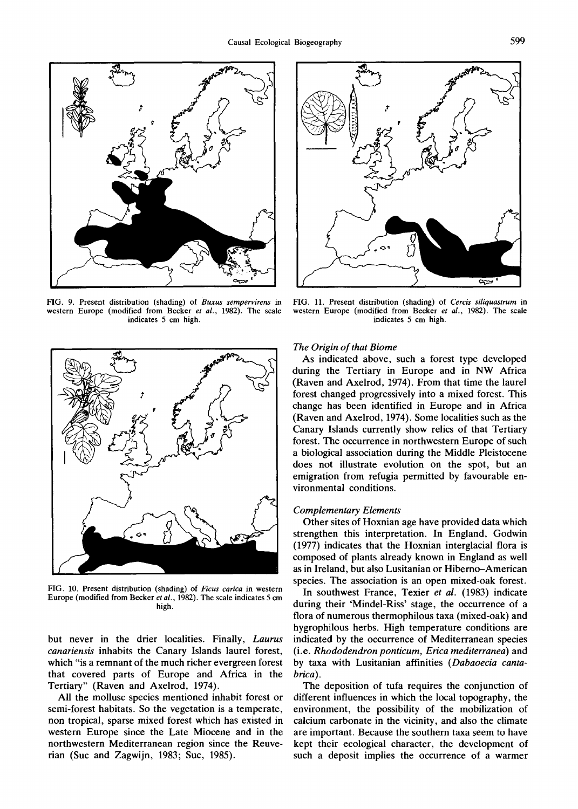

FIG. 9. Present distribution (shading) of *Buxus sempervirens* in western Europe (modified from Becker *et al.,* 1982). The scale indicates 5 cm high.



FIG. 10. Present distribution (shading) of *Ficus carica* in western Europe (modified from Becker *et al.,* 1982). The scale indicates 5 cm high.

but never in the drier localities. Finally, *Laurus canariensis* inhabits the Canary Islands laurel forest, which "is a remnant of the much richer evergreen forest that covered parts of Europe and Africa in the Tertiary" (Raven and Axelrod, 1974).

All the mollusc species mentioned inhabit forest or semi-forest habitats. So the vegetation is a temperate, non tropical, sparse mixed forest which has existed in western Europe since the Late Miocene and in the northwestern Mediterranean region since the Reuverian (Suc and Zagwijn, 1983; Suc, 1985).



FIG. 11. Present distribution (shading) of *Cercis siliquastrum* in western Europe (modified from Becker *et al.,* 1982). The scale indicates 5 cm high.

#### *The Origin of that Biome*

As indicated above, such a forest type developed during the Tertiary in Europe and in NW Africa (Raven and Axelrod, 1974). From that time the laurel forest changed progressively into a mixed forest. This change has been identified in Europe and in Africa (Raven and Axelrod, 1974). Some localities such as the Canary Islands currently show relics of that Tertiary forest. The occurrence in northwestern Europe of such a biological association during the Middle Pleistocene does not illustrate evolution on the spot, but an emigration from refugia permitted by favourable environmental conditions.

#### *Complementary Elements*

Other sites of Hoxnian age have provided data which strengthen this interpretation. In England, Godwin (1977) indicates that the Hoxnian interglacial flora is composed of plants already known in England as well as in Ireland, but also Lusitanian or Hiberno-American species. The association is an open mixed-oak forest.

In southwest France, Texier *et al.* (1983) indicate during their 'Mindel-Riss' stage, the occurrence of a flora of numerous thermophilous taxa (mixed-oak) and hygrophilous herbs. High temperature conditions are indicated by the occurrence of Mediterranean species (i.e. *Rhododendron ponticum, Erica mediterranea)* and by taxa with Lusitanian affinities *(Dabaoecia cantabrica).* 

The deposition of tufa requires the conjunction of different influences in which the local topography, the environment, the possibility of the mobilization of calcium carbonate in the vicinity, and also the climate are important. Because the southern taxa seem to have kept their ecological character, the development of such a deposit implies the occurrence of a warmer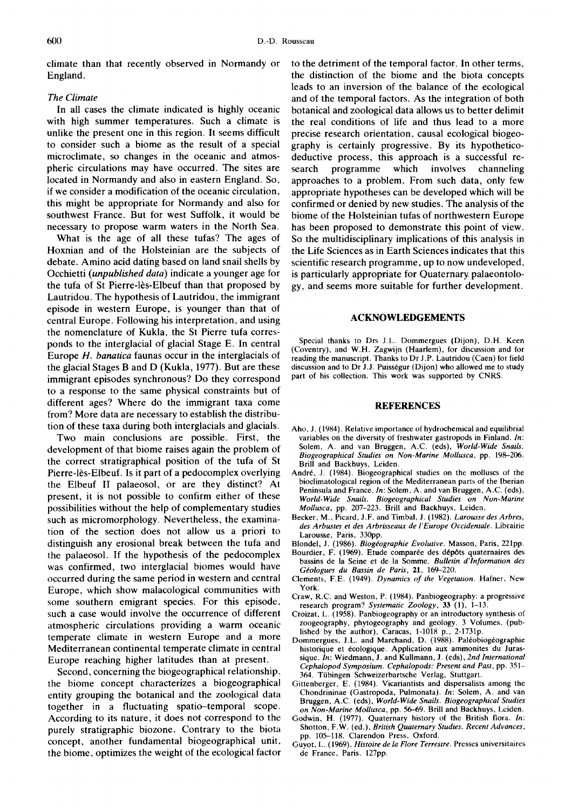climate than that recently observed in Normandy or England.

## *The Climate*

In all cases the climate indicated is highly oceanic with high summer temperatures. Such a climate is unlike the present one in this region. It seems difficult to consider such a biome as the result of a special microclimate, so changes in the oceanic and atmospheric circulations may have occurred. The sites are located in Normandy and also in eastern England. So, if we consider a modification of the oceanic circulation, this might be appropriate for Normandy and also for southwest France. But for west Suffolk, it would be necessary to propose warm waters in the North Sea.

What is the age of all these tufas? The ages of Hoxnian and of the Hoisteinian are the subjects of debate. Amino acid dating based on land snail shells by Occhietti *(unpublished data)* indicate a younger age for the tufa of St Pierre-lès-Elbeuf than that proposed by Lautridou. The hypothesis of Lautridou, the immigrant episode in western Europe, is younger than that of central Europe. Following his interpretation, and using the nomenclature of Kukla, the St Pierre tufa corresponds to the interglacial of glacial Stage E. In central Europe *H. banatica* faunas occur in the interglacials of the glacial Stages B and D (Kukla, 1977). But are these immigrant episodes synchronous? Do they correspond to a response to the same physical constraints but of different ages? Where do the immigrant taxa come from? More data are necessary to establish the distribution of these taxa during both interglacials and glacials.

Two main conclusions are possible. First, the development of that biome raises again the problem of the correct stratigraphical position of the tufa of St Pierre-16s-Elbeuf. Is it part of a pedocomplex overlying the Elbeuf II palaeosol, or are they distinct? At present, it is not possible to confirm either of these possibilities without the help of complementary studies such as micromorphology. Nevertheless, the examination of the section does not allow us a priori to distinguish any erosional break between the tufa and the palaeosol. If the hypothesis of the pedocomplex was confirmed, two interglacial biomes would have occurred during the same period in western and central Europe, which show malacological communities with some southern emigrant species. For this episode, such a case would involve the occurrence of different atmospheric circulations providing a warm oceanic temperate climate in western Europe and a more Mediterranean continental temperate climate in central Europe reaching higher latitudes than at present.

Second, concerning the biogeographical relationship, the biome concept characterizes a biogeographical entity grouping the botanical and the zoological data together in a fluctuating spatio-temporal scope. According to its nature, it does not correspond to the purely stratigraphic biozone. Contrary to the biota concept, another fundamental biogeographical unit, the biome, optimizes the weight of the ecological factor to the detriment of the temporal factor. In other terms, the distinction of the biome and the biota concepts leads to an inversion of the balance of the ecological and of the temporal factors. As the integration of both botanical and zoological data allows us to better delimit the real conditions of life and thus lead to a more precise research orientation, causal ecological biogeography is certainly progressive. By its hypotheticodeductive process, this approach is a successful research programme which involves channeling approaches to a problem. From such data, only few appropriate hypotheses can be developed which will be confirmed or denied by new studies. The analysis of the biome of the Holsteinian tufas of northwestern Europe has been proposed to demonstrate this point of view. So the multidisciplinary implications of this analysis in the Life Sciences as in Earth Sciences indicates that this scientific research programme, up to now undeveloped, is particularly appropriate for Quaternary palaeontology, and seems more suitable for further development.

#### **ACKNOWLEDGEMENTS**

Special thanks to Drs J.L. Dommergues (Dijon), D.H. Keen (Coventry), and W.H. Zagwijn (Haarlem), for discussion and for reading the manuscript. Thanks to Dr J.P. Lautridou (Caen) for field discussion and to Dr J.J. Puisségur (Dijon) who allowed me to study part of his collection. This work was supported by CNRS.

#### **REFERENCES**

- Aho, J. (1984). Relative importance of hydrochemical and equilibrial variables on the diversity of freshwater gastropods in Finland. *In:*  Solem, A. and van Bruggen, A.C. (eds), *World-Wide Snails. Biogeographical Studies on Non-Marine Mollusca,* pp. 198-206. Brill and Backhuys, Leiden.
- André, J. (1984). Biogeographical studies on the molluscs of the bioclimatological region of the Mediterranean parts of the Iberian Peninsula and France. *In:* Solem, A. and van Bruggen, A.C. (eds), *World-Wide Snails. Biogeographical Studies on Non-Marine Mollusca,* pp. 207-223. Brill and Backhuys, Leiden.
- Becker, M., Picard, J.F. and Timbal, J. (1982). *Larousse des Arbres, des Arbustes et des Arbrisseaux de I'Europe Occidentale.* Librairie Larousse, Paris, 330pp.
- Blondel, J. (1986). *Biogéographie Évolutive*. Masson, Paris, 221pp.
- Bourdier, F. (1969). Etude comparée des dépôts quaternaires des bassins de la Seine et de la Somme. *Bulletin d'lnformation des G~ologues du Bassin de Paris,* 21, 169-220.
- Clements, F.E. (1949). *Dynamics of the Vegetation.* Hafner. New York.
- Craw, R.C. and Weston, P. (1984). Panbiogeography: a progressive research program? *Systematic Zoology,* 33 (1), 1-13.
- Croizat, L. (1958). Panbiogeography or an introductory synthesis of zoogeography, phytogeography and geology. 3 Volumes, (published by the author), Caracas, 1-1018 p., 2-1731p.
- Dommergues, J.L. and Marchand, D. (1988). Paléobiogéographie historique et 6cologique. Application aux ammonites du Jurassique. *In:* Wiedmann, J. and Kullmann, J. (eds), *2nd International Cephalopod Symposium. Cephalopods: Present and Past,* pp. 351- 364. Tiibingen Schweizerbartsche Verlag, Stuttgart.
- Gittenberger, E. (1984). Vicariantists and dispersalists among the Chondrininae (Gastropoda, Pulmonata). *In:* Solem, A. and van Bruggen, A.C. (eds), *World-Wide Snails. Biogeographical Studies on Non-Marine Mollusca,* pp. 56--69. Brill and Backhuys, Leiden.
- Godwin, H. (1977). Quaternary history of the British flora. *In*: Shotton, F.W. (ed.), *British Quaternary Studies. Recent Advances,*  pp. 105-118. Clarendon Press, Oxford.
- Guyot, L. (1969). *Histoire de la FIore Terrestre.* Presses universitaires de France, Paris, 127pp.